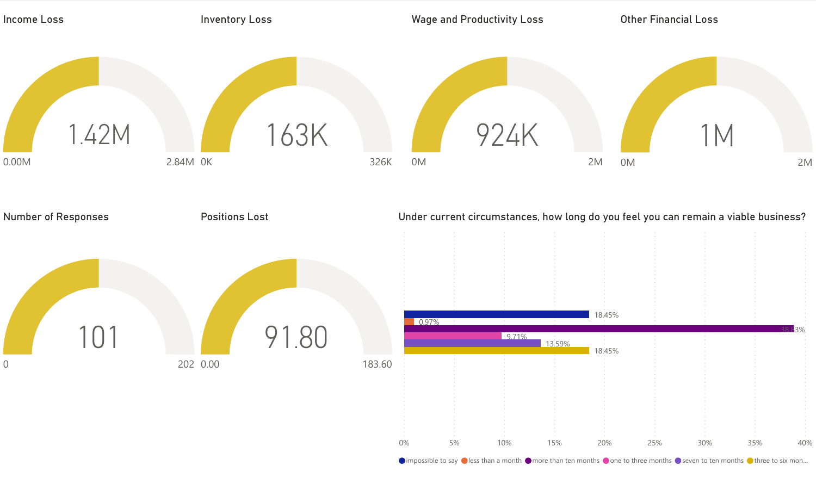

 $\bullet$  impossible to say  $\bullet$  less than a month  $\bullet$  more than ten months  $\bullet$  one to three months  $\bullet$  seven to ten months  $\bullet$  three to six mon...